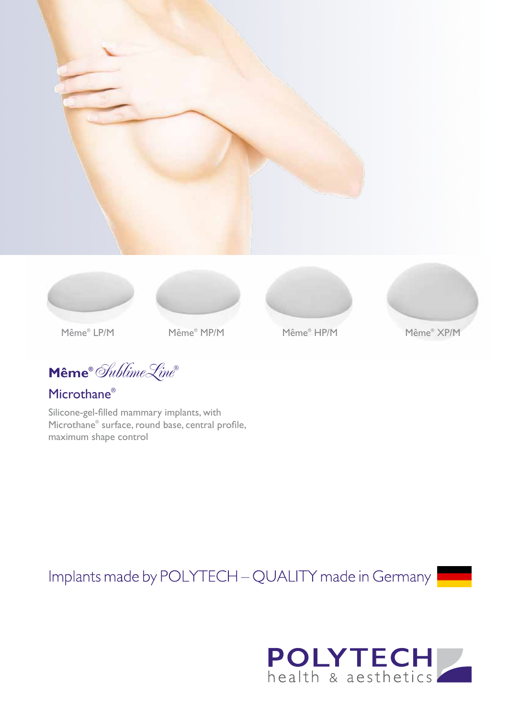









Même® LP/M

Même® LP/M Même® MP/M Même® HP/M Même® XP/M

**Même®** SublimeLine**®**

Microthane®

Silicone-gel-filled mammary implants, with Microthane® surface, round base, central profile, maximum shape control

Implants made by POLYTECH - QUALITY made in Germany